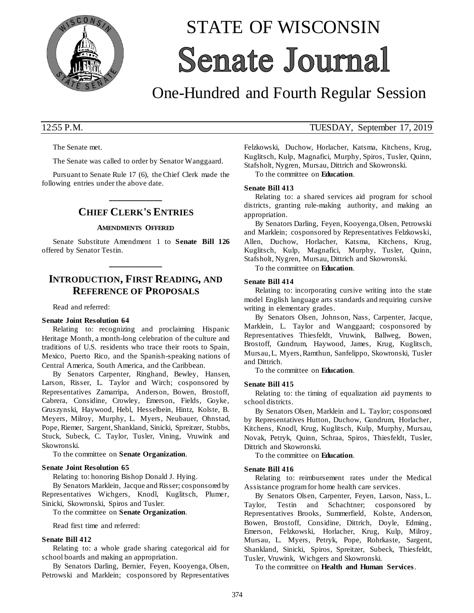

# STATE OF WISCONSIN **Senate Journal**

## One-Hundred and Fourth Regular Session

The Senate met.

The Senate was called to order by Senator Wanggaard.

Pursuant to Senate Rule 17 (6), the Chief Clerk made the following entries under the above date.

## **\_\_\_\_\_\_\_\_\_\_\_\_\_ CHIEF CLERK'S ENTRIES**

#### **AMENDMENTS OFFERED**

Senate Substitute Amendment 1 to **Senate Bill 126** offered by Senator Testin.

## **INTRODUCTION, FIRST READING, AND REFERENCE OF PROPOSALS**

**\_\_\_\_\_\_\_\_\_\_\_\_\_**

Read and referred:

#### **Senate Joint Resolution 64**

Relating to: recognizing and proclaiming Hispanic Heritage Month, a month-long celebration of the culture and traditions of U.S. residents who trace their roots to Spain, Mexico, Puerto Rico, and the Spanish-speaking nations of Central America, South America, and the Caribbean.

By Senators Carpenter, Ringhand, Bewley, Hansen, Larson, Risser, L. Taylor and Wirch; cosponsored by Representatives Zamarripa, Anderson, Bowen, Brostoff, Cabrera, Considine, Crowley, Emerson, Fields, Goyke, Gruszynski, Haywood, Hebl, Hesselbein, Hintz, Kolste, B. Meyers, Milroy, Murphy, L. Myers, Neubauer, Ohnstad, Pope, Riemer, Sargent, Shankland, Sinicki, Spreitzer, Stubbs, Stuck, Subeck, C. Taylor, Tusler, Vining, Vruwink and Skowronski.

To the committee on **Senate Organization**.

#### **Senate Joint Resolution 65**

Relating to: honoring Bishop Donald J. Hying.

By Senators Marklein, Jacque and Risser; cosponsored by Representatives Wichgers, Knodl, Kuglitsch, Plumer, Sinicki, Skowronski, Spiros and Tusler.

To the committee on **Senate Organization**.

Read first time and referred:

#### **Senate Bill 412**

Relating to: a whole grade sharing categorical aid for school boards and making an appropriation.

By Senators Darling, Bernier, Feyen, Kooyenga, Olsen, Petrowski and Marklein; cosponsored by Representatives

### 12:55 P.M. TUESDAY, September 17, 2019

Felzkowski, Duchow, Horlacher, Katsma, Kitchens, Krug, Kuglitsch, Kulp, Magnafici, Murphy, Spiros, Tusler, Quinn, Stafsholt, Nygren, Mursau, Dittrich and Skowronski.

To the committee on **Education**.

#### **Senate Bill 413**

Relating to: a shared services aid program for school districts, granting rule-making authority, and making an appropriation.

By Senators Darling, Feyen, Kooyenga, Olsen, Petrowski and Marklein; cosponsored by Representatives Felzkowski, Allen, Duchow, Horlacher, Katsma, Kitchens, Krug, Kuglitsch, Kulp, Magnafici, Murphy, Tusler, Quinn, Stafsholt, Nygren, Mursau, Dittrich and Skowronski.

To the committee on **Education**.

#### **Senate Bill 414**

Relating to: incorporating cursive writing into the state model English language arts standards and requiring cursive writing in elementary grades.

By Senators Olsen, Johnson, Nass, Carpenter, Jacque, Marklein, L. Taylor and Wanggaard; cosponsored by Representatives Thiesfeldt, Vruwink, Ballweg, Bowen, Brostoff, Gundrum, Haywood, James, Krug, Kuglitsch, Mursau, L. Myers, Ramthun, Sanfelippo, Skowronski, Tusler and Dittrich.

To the committee on **Education**.

#### **Senate Bill 415**

Relating to: the timing of equalization aid payments to school districts.

By Senators Olsen, Marklein and L. Taylor; cosponsored by Representatives Hutton, Duchow, Gundrum, Horlacher, Kitchens, Knodl, Krug, Kuglitsch, Kulp, Murphy, Mursau, Novak, Petryk, Quinn, Schraa, Spiros, Thiesfeldt, Tusler, Dittrich and Skowronski.

To the committee on **Education**.

#### **Senate Bill 416**

Relating to: reimbursement rates under the Medical Assistance program for home health care services.

By Senators Olsen, Carpenter, Feyen, Larson, Nass, L. Taylor, Testin and Schachtner; cosponsored by Representatives Brooks, Summerfield, Kolste, Anderson, Bowen, Brostoff, Considine, Dittrich, Doyle, Edming, Emerson, Felzkowski, Horlacher, Krug, Kulp, Milroy, Mursau, L. Myers, Petryk, Pope, Rohrkaste, Sargent, Shankland, Sinicki, Spiros, Spreitzer, Subeck, Thiesfeldt, Tusler, Vruwink, Wichgers and Skowronski.

To the committee on **Health and Human Services**.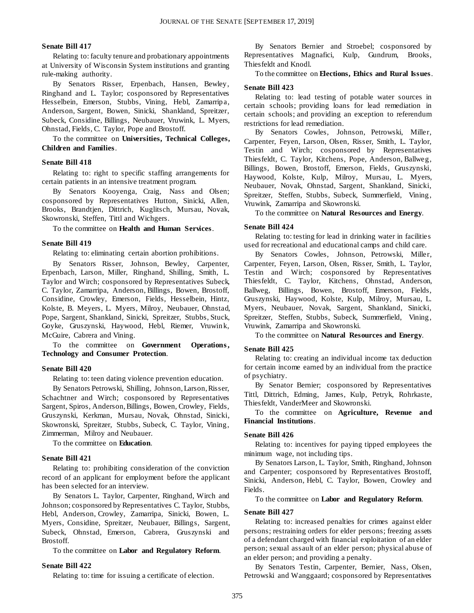#### **Senate Bill 417**

Relating to: faculty tenure and probationary appointments at University of Wisconsin System institutions and granting rule-making authority.

By Senators Risser, Erpenbach, Hansen, Bewley, Ringhand and L. Taylor; cosponsored by Representatives Hesselbein, Emerson, Stubbs, Vining, Hebl, Zamarripa, Anderson, Sargent, Bowen, Sinicki, Shankland, Spreitzer, Subeck, Considine, Billings, Neubauer, Vruwink, L. Myers, Ohnstad, Fields, C. Taylor, Pope and Brostoff.

To the committee on **Universities, Technical Colleges, Children and Families**.

#### **Senate Bill 418**

Relating to: right to specific staffing arrangements for certain patients in an intensive treatment program.

By Senators Kooyenga, Craig, Nass and Olsen; cosponsored by Representatives Hutton, Sinicki, Allen, Brooks, Brandtjen, Dittrich, Kuglitsch, Mursau, Novak, Skowronski, Steffen, Tittl and Wichgers.

To the committee on **Health and Human Services**.

#### **Senate Bill 419**

Relating to: eliminating certain abortion prohibitions.

By Senators Risser, Johnson, Bewley, Carpenter, Erpenbach, Larson, Miller, Ringhand, Shilling, Smith, L. Taylor and Wirch; cosponsored by Representatives Subeck, C. Taylor, Zamarripa, Anderson, Billings, Bowen, Brostoff, Considine, Crowley, Emerson, Fields, Hesselbein, Hintz, Kolste, B. Meyers, L. Myers, Milroy, Neubauer, Ohnstad, Pope, Sargent, Shankland, Sinicki, Spreitzer, Stubbs, Stuck, Goyke, Gruszynski, Haywood, Hebl, Riemer, Vruwink, McGuire, Cabrera and Vining.

To the committee on **Government Operations , Technology and Consumer Protection**.

#### **Senate Bill 420**

Relating to: teen dating violence prevention education.

By Senators Petrowski, Shilling, Johnson, Larson, Risser, Schachtner and Wirch; cosponsored by Representatives Sargent, Spiros, Anderson, Billings, Bowen, Crowley, Fields, Gruszynski, Kerkman, Mursau, Novak, Ohnstad, Sinicki, Skowronski, Spreitzer, Stubbs, Subeck, C. Taylor, Vining, Zimmerman, Milroy and Neubauer.

To the committee on **Education**.

#### **Senate Bill 421**

Relating to: prohibiting consideration of the conviction record of an applicant for employment before the applicant has been selected for an interview.

By Senators L. Taylor, Carpenter, Ringhand, Wirch and Johnson; cosponsored by Representatives C. Taylor, Stubbs, Hebl, Anderson, Crowley, Zamarripa, Sinicki, Bowen, L. Myers, Considine, Spreitzer, Neubauer, Billings, Sargent, Subeck, Ohnstad, Emerson, Cabrera, Gruszynski and Brostoff.

To the committee on **Labor and Regulatory Reform**.

#### **Senate Bill 422**

Relating to: time for issuing a certificate of election.

By Senators Bernier and Stroebel; cosponsored by Representatives Magnafici, Kulp, Gundrum, Brooks, Thiesfeldt and Knodl.

#### To the committee on **Elections, Ethics and Rural Issues**.

#### **Senate Bill 423**

Relating to: lead testing of potable water sources in certain schools; providing loans for lead remediation in certain schools; and providing an exception to referendum restrictions for lead remediation.

By Senators Cowles, Johnson, Petrowski, Miller, Carpenter, Feyen, Larson, Olsen, Risser, Smith, L. Taylor, Testin and Wirch; cosponsored by Representatives Thiesfeldt, C. Taylor, Kitchens, Pope, Anderson, Ballweg, Billings, Bowen, Brostoff, Emerson, Fields, Gruszynski, Haywood, Kolste, Kulp, Milroy, Mursau, L. Myers, Neubauer, Novak, Ohnstad, Sargent, Shankland, Sinicki, Spreitzer, Steffen, Stubbs, Subeck, Summerfield, Vining, Vruwink, Zamarripa and Skowronski.

To the committee on **Natural Resources and Energy**.

#### **Senate Bill 424**

Relating to: testing for lead in drinking water in facilities used for recreational and educational camps and child care.

By Senators Cowles, Johnson, Petrowski, Miller, Carpenter, Feyen, Larson, Olsen, Risser, Smith, L. Taylor, Testin and Wirch; cosponsored by Representatives Thiesfeldt, C. Taylor, Kitchens, Ohnstad, Anderson, Ballweg, Billings, Bowen, Brostoff, Emerson, Fields, Gruszynski, Haywood, Kolste, Kulp, Milroy, Mursau, L. Myers, Neubauer, Novak, Sargent, Shankland, Sinicki, Spreitzer, Steffen, Stubbs, Subeck, Summerfield, Vining, Vruwink, Zamarripa and Skowronski.

To the committee on **Natural Resources and Energy**.

#### **Senate Bill 425**

Relating to: creating an individual income tax deduction for certain income earned by an individual from the practice of psychiatry.

By Senator Bernier; cosponsored by Representatives Tittl, Dittrich, Edming, James, Kulp, Petryk, Rohrkaste, Thiesfeldt, VanderMeer and Skowronski.

To the committee on **Agriculture, Revenue and Financial Institutions**.

#### **Senate Bill 426**

Relating to: incentives for paying tipped employees the minimum wage, not including tips.

By Senators Larson, L. Taylor, Smith, Ringhand, Johnson and Carpenter; cosponsored by Representatives Brostoff, Sinicki, Anderson, Hebl, C. Taylor, Bowen, Crowley and Fields.

To the committee on **Labor and Regulatory Reform**.

#### **Senate Bill 427**

Relating to: increased penalties for crimes against elder persons; restraining orders for elder persons; freezing assets of a defendant charged with financial exploitation of an elder person; sexual assault of an elder person; physical abuse of an elder person; and providing a penalty.

By Senators Testin, Carpenter, Bernier, Nass, Olsen, Petrowski and Wanggaard; cosponsored by Representatives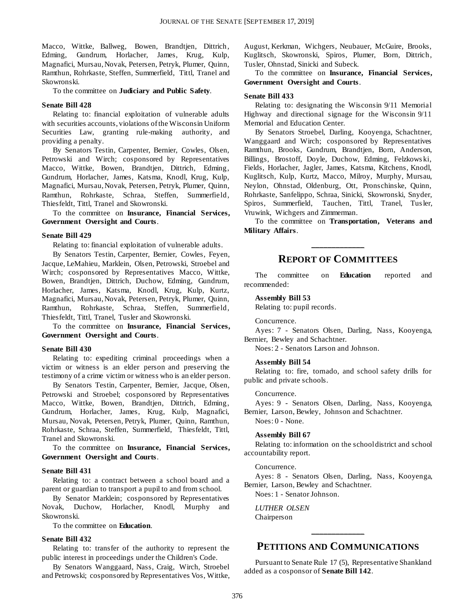Macco, Wittke, Ballweg, Bowen, Brandtjen, Dittrich, Edming, Gundrum, Horlacher, James, Krug, Kulp, Magnafici, Mursau, Novak, Petersen, Petryk, Plumer, Quinn, Ramthun, Rohrkaste, Steffen, Summerfield, Tittl, Tranel and Skowronski.

To the committee on **Judiciary and Public Safety**.

#### **Senate Bill 428**

Relating to: financial exploitation of vulnerable adults with securities accounts, violations of the Wisconsin Uniform Securities Law, granting rule-making authority, and providing a penalty.

By Senators Testin, Carpenter, Bernier, Cowles, Olsen, Petrowski and Wirch; cosponsored by Representatives Macco, Wittke, Bowen, Brandtjen, Dittrich, Edming, Gundrum, Horlacher, James, Katsma, Knodl, Krug, Kulp, Magnafici, Mursau, Novak, Petersen, Petryk, Plumer, Quinn, Ramthun, Rohrkaste, Schraa, Steffen, Summerfield, Thiesfeldt, Tittl, Tranel and Skowronski.

To the committee on **Insurance, Financial Services, Government Oversight and Courts**.

#### **Senate Bill 429**

Relating to: financial exploitation of vulnerable adults.

By Senators Testin, Carpenter, Bernier, Cowles, Feyen, Jacque, LeMahieu, Marklein, Olsen, Petrowski, Stroebel and Wirch; cosponsored by Representatives Macco, Wittke, Bowen, Brandtjen, Dittrich, Duchow, Edming, Gundrum, Horlacher, James, Katsma, Knodl, Krug, Kulp, Kurtz, Magnafici, Mursau, Novak, Petersen, Petryk, Plumer, Quinn, Ramthun, Rohrkaste, Schraa, Steffen, Summerfield, Thiesfeldt, Tittl, Tranel, Tusler and Skowronski.

To the committee on **Insurance, Financial Services, Government Oversight and Courts**.

#### **Senate Bill 430**

Relating to: expediting criminal proceedings when a victim or witness is an elder person and preserving the testimony of a crime victim or witness who is an elder person.

By Senators Testin, Carpenter, Bernier, Jacque, Olsen, Petrowski and Stroebel; cosponsored by Representatives Macco, Wittke, Bowen, Brandtjen, Dittrich, Edming, Gundrum, Horlacher, James, Krug, Kulp, Magnafici, Mursau, Novak, Petersen, Petryk, Plumer, Quinn, Ramthun, Rohrkaste, Schraa, Steffen, Summerfield, Thiesfeldt, Tittl, Tranel and Skowronski.

To the committee on **Insurance, Financial Services, Government Oversight and Courts**.

#### **Senate Bill 431**

Relating to: a contract between a school board and a parent or guardian to transport a pupil to and from school.

By Senator Marklein; cosponsored by Representatives Novak, Duchow, Horlacher, Knodl, Murphy and Skowronski.

To the committee on **Education**.

#### **Senate Bill 432**

Relating to: transfer of the authority to represent the public interest in proceedings under the Children's Code.

By Senators Wanggaard, Nass, Craig, Wirch, Stroebel and Petrowski; cosponsored by Representatives Vos, Wittke,

August, Kerkman, Wichgers, Neubauer, McGuire, Brooks, Kuglitsch, Skowronski, Spiros, Plumer, Born, Dittrich, Tusler, Ohnstad, Sinicki and Subeck.

To the committee on **Insurance, Financial Services, Government Oversight and Courts**.

#### **Senate Bill 433**

Relating to: designating the Wisconsin 9/11 Memorial Highway and directional signage for the Wisconsin 9/11 Memorial and Education Center.

By Senators Stroebel, Darling, Kooyenga, Schachtner, Wanggaard and Wirch; cosponsored by Representatives Ramthun, Brooks, Gundrum, Brandtjen, Born, Anderson, Billings, Brostoff, Doyle, Duchow, Edming, Felzkows ki, Fields, Horlacher, Jagler, James, Katsma, Kitchens, Knodl, Kuglitsch, Kulp, Kurtz, Macco, Milroy, Murphy, Mursau, Neylon, Ohnstad, Oldenburg, Ott, Pronschinske, Quinn, Rohrkaste, Sanfelippo, Schraa, Sinicki, Skowronski, Snyder, Spiros, Summerfield, Tauchen, Tittl, Tranel, Tusler, Vruwink, Wichgers and Zimmerman.

To the committee on **Transportation, Veterans and Military Affairs**.

## **\_\_\_\_\_\_\_\_\_\_\_\_\_ REPORT OF COMMITTEES**

The committee on **Education** reported and recommended:

#### **Assembly Bill 53**

Relating to: pupil records.

#### Concurrence.

Ayes: 7 - Senators Olsen, Darling, Nass, Kooyenga, Bernier, Bewley and Schachtner.

Noes: 2 - Senators Larson and Johnson.

#### **Assembly Bill 54**

Relating to: fire, tornado, and school safety drills for public and private schools.

Concurrence.

Ayes: 9 - Senators Olsen, Darling, Nass, Kooyenga, Bernier, Larson, Bewley, Johnson and Schachtner.

Noes: 0 - None.

#### **Assembly Bill 67**

Relating to: information on the school district and school accountability report.

#### Concurrence.

Ayes: 8 - Senators Olsen, Darling, Nass, Kooyenga, Bernier, Larson, Bewley and Schachtner.

Noes: 1 - Senator Johnson.

*LUTHER OLSEN* Chairperson

## **PETITIONS AND COMMUNICATIONS**

**\_\_\_\_\_\_\_\_\_\_\_\_\_**

Pursuant to Senate Rule 17 (5), Representative Shankland added as a cosponsor of **Senate Bill 142**.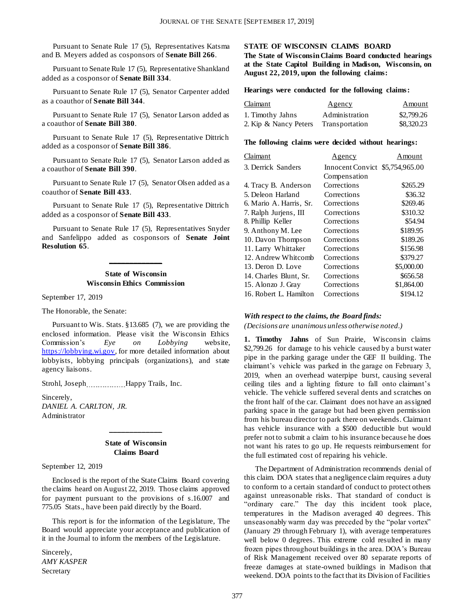Pursuant to Senate Rule 17 (5), Representatives Katsma and B. Meyers added as cosponsors of **Senate Bill 266**.

Pursuant to Senate Rule 17 (5), Representative Shankland added as a cosponsor of **Senate Bill 334**.

Pursuant to Senate Rule 17 (5), Senator Carpenter added as a coauthor of **Senate Bill 344**.

Pursuant to Senate Rule 17 (5), Senator Larson added as a coauthor of **Senate Bill 380**.

Pursuant to Senate Rule 17 (5), Representative Dittrich added as a cosponsor of **Senate Bill 386**.

Pursuant to Senate Rule 17 (5), Senator Larson added as a coauthor of **Senate Bill 390**.

Pursuant to Senate Rule 17 (5), Senator Olsen added as a coauthor of **Senate Bill 433**.

Pursuant to Senate Rule 17 (5), Representative Dittrich added as a cosponsor of **Senate Bill 433**.

Pursuant to Senate Rule 17 (5), Representatives Snyder and Sanfelippo added as cosponsors of **Senate Joint Resolution 65**.

#### **State of Wisconsin Wisconsin Ethics Commission**

**\_\_\_\_\_\_\_\_\_\_\_\_\_**

September 17, 2019

The Honorable, the Senate:

Pursuant to Wis. Stats. §13.685 (7), we are providing the enclosed information. Please visit the Wisconsin Ethics Commission's *Eye on Lobbying* website, [https://lobbying.wi.gov,](https://lobbying.wi.gov/) for more detailed information about lobbyists, lobbying principals (organizations), and state agency liaisons.

Strohl, Joseph Happy Trails, Inc.

Sincerely, *DANIEL A. CARLTON, JR.* Administrator

#### **State of Wisconsin Claims Board**

**\_\_\_\_\_\_\_\_\_\_\_\_\_**

September 12, 2019

Enclosed is the report of the State Claims Board covering the claims heard on August 22, 2019. Those claims approved for payment pursuant to the provisions of s.16.007 and 775.05 Stats., have been paid directly by the Board.

This report is for the information of the Legislature, The Board would appreciate your acceptance and publication of it in the Journal to inform the members of the Legislature.

Sincerely, *AMY KASPER* Secretary

#### **STATE OF WISCONSIN CLAIMS BOARD**

**The State of Wisconsin Claims Board conducted hearings at the State Capitol Building in Madison, Wisconsin, on August 22, 2019, upon the following claims:**

#### **Hearings were conducted for the following claims:**

| <b>Claimant</b>       | <u>Agency</u>  | Amount<br>\$2,799.26 |  |
|-----------------------|----------------|----------------------|--|
| 1. Timothy Jahns      | Administration |                      |  |
| 2. Kip & Nancy Peters | Transportation | \$8,320.23           |  |

#### **The following claims were decided without hearings:**

| Claimant                | <u>Agency</u>                   | Amount     |
|-------------------------|---------------------------------|------------|
| 3. Derrick Sanders      | Innocent Convict \$5,754,965.00 |            |
|                         | Compensation                    |            |
| 4. Tracy B. Anderson    | Corrections                     | \$265.29   |
| 5. Deleon Harland       | Corrections                     | \$36.32    |
| 6. Mario A. Harris, Sr. | Corrections                     | \$269.46   |
| 7. Ralph Jurjens, III   | Corrections                     | \$310.32   |
| 8. Phillip Keller       | Corrections                     | \$54.94    |
| 9. Anthony M. Lee       | Corrections                     | \$189.95   |
| 10. Davon Thompson      | Corrections                     | \$189.26   |
| 11. Larry Whittaker     | Corrections                     | \$156.98   |
| 12. Andrew Whitcomb     | Corrections                     | \$379.27   |
| 13. Deron D. Love       | Corrections                     | \$5,000.00 |
| 14. Charles Blunt, Sr.  | Corrections                     | \$656.58   |
| 15. Alonzo J. Gray      | Corrections                     | \$1,864.00 |
| 16. Robert L. Hamilton  | Corrections                     | \$194.12   |

#### *With respect to the claims, the Board finds:*

*(Decisions are unanimous unless otherwise noted.)*

**1. Timothy Jahns** of Sun Prairie, Wisconsin claims \$2,799.26 for damage to his vehicle caused by a burst water pipe in the parking garage under the GEF II building. The claimant's vehicle was parked in the garage on February 3, 2019, when an overhead waterpipe burst, causing several ceiling tiles and a lighting fixture to fall onto claimant's vehicle. The vehicle suffered several dents and scratches on the front half of the car. Claimant does not have an assigned parking space in the garage but had been given permission from his bureau director to park there on weekends. Claimant has vehicle insurance with a \$500 deductible but would prefer not to submit a claim to his insurance because he does not want his rates to go up. He requests reimbursement for the full estimated cost of repairing his vehicle.

The Department of Administration recommends denial of this claim. DOA states that a negligence claim requires a duty to conform to a certain standard of conduct to protect others against unreasonable risks. That standard of conduct is "ordinary care." The day this incident took place, temperatures in the Madison averaged 40 degrees. This unseasonably warm day was preceded by the "polar vortex" (January 29 through February 1), with average temperatures well below 0 degrees. This extreme cold resulted in many frozen pipes throughout buildings in the area. DOA's Bureau of Risk Management received over 80 separate reports of freeze damages at state-owned buildings in Madison that weekend. DOA points to the fact that its Division of Facilities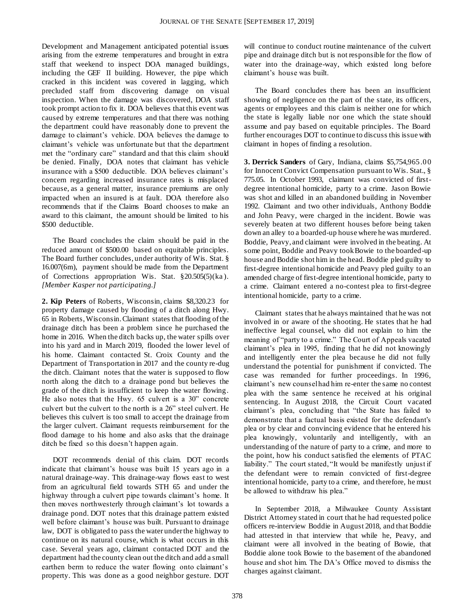Development and Management anticipated potential issues arising from the extreme temperatures and brought in extra staff that weekend to inspect DOA managed buildings, including the GEF II building. However, the pipe which cracked in this incident was covered in lagging, which precluded staff from discovering damage on visual inspection. When the damage was discovered, DOA staff took prompt action to fix it. DOA believes that this event was caused by extreme temperatures and that there was nothing the department could have reasonably done to prevent the damage to claimant's vehicle. DOA believes the damage to claimant's vehicle was unfortunate but that the department met the "ordinary care" standard and that this claim should be denied. Finally, DOA notes that claimant has vehicle insurance with a \$500 deductible. DOA believes claimant's concern regarding increased insurance rates is misplaced because, as a general matter, insurance premiums are only impacted when an insured is at fault. DOA therefore also recommends that if the Claims Board chooses to make an award to this claimant, the amount should be limited to his \$500 deductible.

The Board concludes the claim should be paid in the reduced amount of \$500.00 based on equitable principles. The Board further concludes, under authority of Wis. Stat. § 16.007(6m), payment should be made from the Department of Corrections appropriation Wis. Stat. §20.505(5)(ka ). *[Member Kasper not participating.]*

**2. Kip Peters** of Roberts, Wisconsin, claims \$8,320.23 for property damage caused by flooding of a ditch along Hwy. 65 in Roberts, Wisconsin. Claimant states that flooding of the drainage ditch has been a problem since he purchased the home in 2016. When the ditch backs up, the water spills over into his yard and in March 2019, flooded the lower level of his home. Claimant contacted St. Croix County and the Department of Transportation in 2017 and the county re-dug the ditch. Claimant notes that the water is supposed to flow north along the ditch to a drainage pond but believes the grade of the ditch is insufficient to keep the water flowing. He also notes that the Hwy. 65 culvert is a 30" concrete culvert but the culvert to the north is a 26" steel culvert. He believes this culvert is too small to accept the drainage from the larger culvert. Claimant requests reimbursement for the flood damage to his home and also asks that the drainage ditch be fixed so this doesn't happen again.

DOT recommends denial of this claim. DOT records indicate that claimant's house was built 15 years ago in a natural drainage-way. This drainage-way flows east to west from an agricultural field towards STH 65 and under the highway through a culvert pipe towards claimant's home. It then moves northwesterly through claimant's lot towards a drainage pond. DOT notes that this drainage pattern existed well before claimant's house was built. Pursuant to drainage law, DOT is obligated to pass the water under the highway to continue on its natural course, which is what occurs in this case. Several years ago, claimant contacted DOT and the department had the county clean out the ditch and add a small earthen berm to reduce the water flowing onto claimant's property. This was done as a good neighbor gesture. DOT

will continue to conduct routine maintenance of the culvert pipe and drainage ditch but is not responsible for the flow of water into the drainage-way, which existed long before claimant's house was built.

The Board concludes there has been an insufficient showing of negligence on the part of the state, its officers, agents or employees and this claim is neither one for which the state is legally liable nor one which the state should assume and pay based on equitable principles. The Board further encourages DOT to continue to discuss this issue with claimant in hopes of finding a resolution.

**3. Derrick Sanders** of Gary, Indiana, claims \$5,754,965.00 for Innocent Convict Compensation pursuant to Wis. Stat., § 775.05. In October 1993, claimant was convicted of firstdegree intentional homicide, party to a crime. Jason Bowie was shot and killed in an abandoned building in November 1992. Claimant and two other individuals, Anthony Boddie and John Peavy, were charged in the incident. Bowie was severely beaten at two different houses before being taken down an alley to a boarded-up house where he was murdered. Boddie, Peavy, and claimant were involved in the beating. At some point, Boddie and Peavy took Bowie to the boarded-up house and Boddie shot him in the head. Boddie pled guilty to first-degree intentional homicide and Peavy pled guilty to an amended charge of first-degree intentional homicide, party to a crime. Claimant entered a no-contest plea to first-degree intentional homicide, party to a crime.

Claimant states that he always maintained that he was not involved in or aware of the shooting. He states that he had ineffective legal counsel, who did not explain to him the meaning of "party to a crime." The Court of Appeals vacated claimant's plea in 1995, finding that he did not knowingly and intelligently enter the plea because he did not fully understand the potential for punishment if convicted. The case was remanded for further proceedings. In 1996, claimant's new counsel had him re-enter the same no contest plea with the same sentence he received at his original sentencing. In August 2018, the Circuit Court vacated claimant's plea, concluding that "the State has failed to demonstrate that a factual basis existed for the defendant's plea or by clear and convincing evidence that he entered his plea knowingly, voluntarily and intelligently, with an understanding of the nature of party to a crime, and more to the point, how his conduct satisfied the elements of PTAC liability." The court stated, "It would be manifestly unjust if the defendant were to remain convicted of first-degree intentional homicide, party to a crime, and therefore, he must be allowed to withdraw his plea."

In September 2018, a Milwaukee County Assistant District Attorney stated in court that he had requested police officers re-interview Boddie in August 2018, and that Boddie had attested in that interview that while he, Peavy, and claimant were all involved in the beating of Bowie, that Boddie alone took Bowie to the basement of the abandoned house and shot him. The DA's Office moved to dismiss the charges against claimant.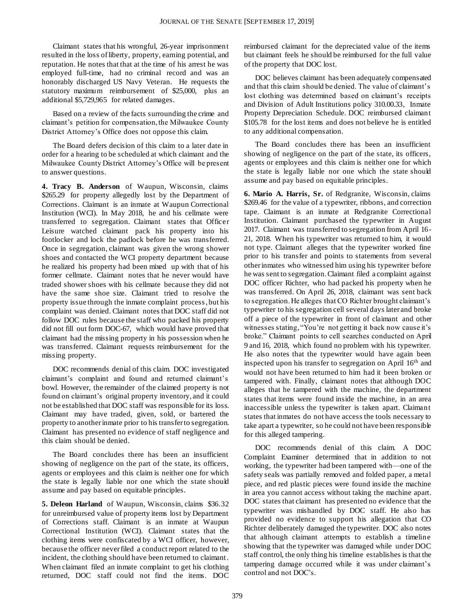Claimant states that his wrongful, 26-year imprisonment resulted in the loss of liberty, property, earning potential, and reputation. He notes that that at the time of his arrest he was employed full-time, had no criminal record and was an honorably discharged US Navy Veteran. He requests the statutory maximum reimbursement of \$25,000, plus an additional \$5,729,965 for related damages.

Based on a review of the facts surrounding the crime and claimant's petition for compensation, the Milwaukee County District Attorney's Office does not oppose this claim.

The Board defers decision of this claim to a later date in order for a hearing to be scheduled at which claimant and the Milwaukee County District Attorney's Office will be present to answer questions.

**4. Tracy B. Anderson** of Waupun, Wisconsin, claims \$265.29 for property allegedly lost by the Department of Corrections. Claimant is an inmate at Waupun Correctional Institution (WCI). In May 2018, he and his cellmate were transferred to segregation. Claimant states that Officer Leisure watched claimant pack his property into his footlocker and lock the padlock before he was transferred. Once in segregation, claimant was given the wrong shower shoes and contacted the WCI property department because he realized his property had been mixed up with that of his former cellmate. Claimant notes that he never would have traded shower shoes with his cellmate because they did not have the same shoe size. Claimant tried to resolve the property issue through the inmate complaint process, but his complaint was denied. Claimant notes that DOC staff did not follow DOC rules because the staff who packed his property did not fill out form DOC-67, which would have proved that claimant had the missing property in his possession when he was transferred. Claimant requests reimbursement for the missing property.

DOC recommends denial of this claim. DOC investigated claimant's complaint and found and returned claimant's bowl. However, the remainder of the claimed property is not found on claimant's original property inventory, and it could not be established that DOC staff was responsible for its loss. Claimant may have traded, given, sold, or bartered the property to another inmate prior to his transfer to segregation. Claimant has presented no evidence of staff negligence and this claim should be denied.

The Board concludes there has been an insufficient showing of negligence on the part of the state, its officers, agents or employees and this claim is neither one for which the state is legally liable nor one which the state should assume and pay based on equitable principles.

**5. Deleon Harland** of Waupun, Wisconsin, claims \$36.32 for unreimbursed value of property items lost by Department of Corrections staff. Claimant is an inmate at Waupun Correctional Institution (WCI). Claimant states that the clothing items were confiscated by a WCI officer, however, because the officer never filed a conduct report related to the incident, the clothing should have been returned to claimant. When claimant filed an inmate complaint to get his clothing returned, DOC staff could not find the items. DOC

reimbursed claimant for the depreciated value of the items but claimant feels he should be reimbursed for the full value of the property that DOC lost.

DOC believes claimant has been adequately compensated and that this claim should be denied. The value of claimant's lost clothing was determined based on claimant's receipts and Division of Adult Institutions policy 310.00.33, Inmate Property Depreciation Schedule. DOC reimbursed claimant \$105.78 for the lost items and does not believe he is entitled to any additional compensation.

The Board concludes there has been an insufficient showing of negligence on the part of the state, its officers, agents or employees and this claim is neither one for which the state is legally liable nor one which the state should assume and pay based on equitable principles.

**6. Mario A. Harris, Sr.** of Redgranite, Wisconsin, claims \$269.46 for the value of a typewriter, ribbons, and correction tape. Claimant is an inmate at Redgranite Correctional Institution. Claimant purchased the typewriter in August 2017. Claimant was transferred to segregation from April 16- 21, 2018. When his typewriter was returned to him, it would not type. Claimant alleges that the typewriter worked fine prior to his transfer and points to statements from several other inmates who witnessed him using his typewriter before he was sent to segregation. Claimant filed a complaint against DOC officer Richter, who had packed his property when he was transferred. On April 26, 2018, claimant was sent back to segregation. He alleges that CO Richter brought claimant's typewriter to his segregation cell several days later and broke off a piece of the typewriter in front of claimant and other witnesses stating, "You're not getting it back now cause it's broke." Claimant points to cell searches conducted on April 9 and 16, 2018, which found no problem with his typewriter. He also notes that the typewriter would have again been inspected upon his transfer to segregation on April 16th and would not have been returned to him had it been broken or tampered with. Finally, claimant notes that although DOC alleges that he tampered with the machine, the department states that items were found inside the machine, in an area inaccessible unless the typewriter is taken apart. Claimant states that inmates do not have access the tools necessary to take apart a typewriter, so he could not have been responsible for this alleged tampering.

DOC recommends denial of this claim. A DOC Complaint Examiner determined that in addition to not working, the typewriter had been tampered with—one of the safety seals was partially removed and folded paper, a metal piece, and red plastic pieces were found inside the machine in area you cannot access without taking the machine apart. DOC states that claimant has presented no evidence that the typewriter was mishandled by DOC staff. He also has provided no evidence to support his allegation that CO Richter deliberately damaged the typewriter. DOC also notes that although claimant attempts to establish a timeline showing that the typewriter was damaged while under DOC staff control, the only thing his timeline establishes is that the tampering damage occurred while it was under claimant's control and not DOC's.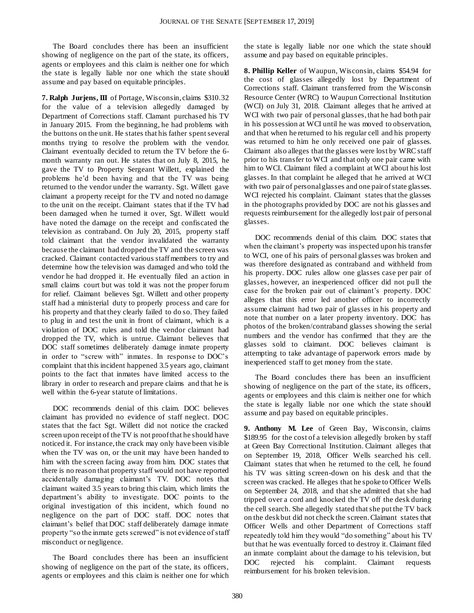The Board concludes there has been an insufficient showing of negligence on the part of the state, its officers, agents or employees and this claim is neither one for which the state is legally liable nor one which the state should assume and pay based on equitable principles.

**7. Ralph Jurjens, III** of Portage, Wisconsin, claims \$310.32 for the value of a television allegedly damaged by Department of Corrections staff. Clamant purchased his TV in January 2015. From the beginning, he had problems with the buttons on the unit. He states that his father spent several months trying to resolve the problem with the vendor. Claimant eventually decided to return the TV before the 6 month warranty ran out. He states that on July 8, 2015, he gave the TV to Property Sergeant Willett, explained the problems he'd been having and that the TV was being returned to the vendor under the warranty. Sgt. Willett gave claimant a property receipt for the TV and noted no damage to the unit on the receipt. Claimant states that if the TV had been damaged when he turned it over, Sgt. Willett would have noted the damage on the receipt and confiscated the television as contraband. On July 20, 2015, property staff told claimant that the vendor invalidated the warranty because the claimant had dropped the TV and the screen was cracked. Claimant contacted various staff members to try and determine how the television was damaged and who told the vendor he had dropped it. He eventually filed an action in small claims court but was told it was not the proper forum for relief. Claimant believes Sgt. Willett and other property staff had a ministerial duty to properly process and care for his property and that they clearly failed to do so. They failed to plug in and test the unit in front of claimant, which is a violation of DOC rules and told the vendor claimant had dropped the TV, which is untrue. Claimant believes that DOC staff sometimes deliberately damage inmate property in order to "screw with" inmates. In response to DOC's complaint that this incident happened 3.5 years ago, claimant points to the fact that inmates have limited access to the library in order to research and prepare claims and that he is well within the 6-year statute of limitations.

DOC recommends denial of this claim. DOC believes claimant has provided no evidence of staff neglect. DOC states that the fact Sgt. Willett did not notice the cracked screen upon receipt of the TV is not proof that he should have noticed it. For instance, the crack may only have been visible when the TV was on, or the unit may have been handed to him with the screen facing away from him. DOC states that there is no reason that property staff would not have reported accidentally damaging claimant's TV. DOC notes that claimant waited 3.5 years to bring this claim, which limits the department's ability to investigate. DOC points to the original investigation of this incident, which found no negligence on the part of DOC staff. DOC notes that claimant's belief that DOC staff deliberately damage inmate property "so the inmate gets screwed" is not evidence of staff misconduct or negligence.

The Board concludes there has been an insufficient showing of negligence on the part of the state, its officers, agents or employees and this claim is neither one for which the state is legally liable nor one which the state should assume and pay based on equitable principles.

**8. Phillip Keller** of Waupun, Wisconsin, claims \$54.94 for the cost of glasses allegedly lost by Department of Corrections staff. Claimant transferred from the Wisconsin Resource Center (WRC) to Waupun Correctional Institution (WCI) on July 31, 2018. Claimant alleges that he arrived at WCI with two pair of personal glasses, that he had both pair in his possession at WCI until he was moved to observation, and that when he returned to his regular cell and his property was returned to him he only received one pair of glasses. Claimant also alleges that the glasses were lost by WRC staff prior to his transfer to WCI and that only one pair came with him to WCI. Claimant filed a complaint at WCI about his lost glasses. In that complaint he alleged that he arrived at WCI with two pair of personal glasses and one pair of state glasses. WCI rejected his complaint. Claimant states that the glasses in the photographs provided by DOC are not his glasses and requests reimbursement for the allegedly lost pair of personal glasses.

DOC recommends denial of this claim. DOC states that when the claimant's property was inspected upon his transfer to WCI, one of his pairs of personal glasses was broken and was therefore designated as contraband and withheld from his property. DOC rules allow one glasses case per pair of glasses, however, an inexperienced officer did not pull the case for the broken pair out of claimant's property. DOC alleges that this error led another officer to incorrectly assume claimant had two pair of glasses in his property and note that number on a later property inventory. DOC has photos of the broken/contraband glasses showing the serial numbers and the vendor has confirmed that they are the glasses sold to claimant. DOC believes claimant is attempting to take advantage of paperwork errors made by inexperienced staff to get money from the state.

The Board concludes there has been an insufficient showing of negligence on the part of the state, its officers, agents or employees and this claim is neither one for which the state is legally liable nor one which the state should assume and pay based on equitable principles.

**9. Anthony M. Lee** of Green Bay, Wisconsin, claims \$189.95 for the cost of a television allegedly broken by staff at Green Bay Correctional Institution. Claimant alleges that on September 19, 2018, Officer Wells searched his cell. Claimant states that when he returned to the cell, he found his TV was sitting screen-down on his desk and that the screen was cracked. He alleges that he spoke to Officer Wells on September 24, 2018, and that she admitted that she had tripped over a cord and knocked the TV off the desk during the cell search. She allegedly stated that she put the TV back on the desk but did not check the screen. Claimant states that Officer Wells and other Department of Corrections staff repeatedly told him they would "do something" about his TV but that he was eventually forced to destroy it. Claimant filed an inmate complaint about the damage to his television, but DOC rejected his complaint. Claimant requests reimbursement for his broken television.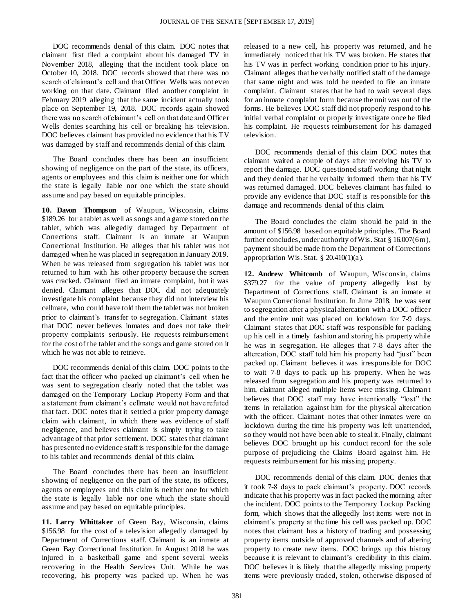DOC recommends denial of this claim. DOC notes that claimant first filed a complaint about his damaged TV in November 2018, alleging that the incident took place on October 10, 2018. DOC records showed that there was no search of claimant's cell and that Officer Wells was not even working on that date. Claimant filed another complaint in February 2019 alleging that the same incident actually took place on September 19, 2018. DOC records again showed there was no search of claimant's cell on that date and Officer Wells denies searching his cell or breaking his television. DOC believes claimant has provided no evidence that his TV was damaged by staff and recommends denial of this claim.

The Board concludes there has been an insufficient showing of negligence on the part of the state, its officers, agents or employees and this claim is neither one for which the state is legally liable nor one which the state should assume and pay based on equitable principles.

**10. Davon Thompson** of Waupun, Wisconsin, claims \$189.26 for a tablet as well as songs and a game stored on the tablet, which was allegedly damaged by Department of Corrections staff. Claimant is an inmate at Waupun Correctional Institution. He alleges that his tablet was not damaged when he was placed in segregation in January 2019. When he was released from segregation his tablet was not returned to him with his other property because the screen was cracked. Claimant filed an inmate complaint, but it was denied. Claimant alleges that DOC did not adequately investigate his complaint because they did not interview his cellmate, who could have told them the tablet was not broken prior to claimant's transfer to segregation. Claimant states that DOC never believes inmates and does not take their property complaints seriously. He requests reimbursement for the cost of the tablet and the songs and game stored on it which he was not able to retrieve.

DOC recommends denial of this claim. DOC points to the fact that the officer who packed up claimant's cell when he was sent to segregation clearly noted that the tablet was damaged on the Temporary Lockup Property Form and that a statement from claimant's cellmate would not have refuted that fact. DOC notes that it settled a prior property damage claim with claimant, in which there was evidence of staff negligence, and believes claimant is simply trying to take advantage of that prior settlement. DOC states that claimant has presented no evidence staff is responsible for the damage to his tablet and recommends denial of this claim.

The Board concludes there has been an insufficient showing of negligence on the part of the state, its officers, agents or employees and this claim is neither one for which the state is legally liable nor one which the state should assume and pay based on equitable principles.

**11. Larry Whittaker** of Green Bay, Wisconsin, claims \$156.98 for the cost of a television allegedly damaged by Department of Corrections staff. Claimant is an inmate at Green Bay Correctional Institution. In August 2018 he was injured in a basketball game and spent several weeks recovering in the Health Services Unit. While he was recovering, his property was packed up. When he was

released to a new cell, his property was returned, and he immediately noticed that his TV was broken. He states that his TV was in perfect working condition prior to his injury. Claimant alleges that he verbally notified staff of the damage that same night and was told he needed to file an inmate complaint. Claimant states that he had to wait several days for an inmate complaint form because the unit was out of the forms. He believes DOC staff did not properly respond to his initial verbal complaint or properly investigate once he filed his complaint. He requests reimbursement for his damaged television.

DOC recommends denial of this claim DOC notes that claimant waited a couple of days after receiving his TV to report the damage. DOC questioned staff working that night and they denied that he verbally informed them that his TV was returned damaged. DOC believes claimant has failed to provide any evidence that DOC staff is responsible for this damage and recommends denial of this claim.

The Board concludes the claim should be paid in the amount of \$156.98 based on equitable principles. The Board further concludes, under authority of Wis. Stat § 16.007(6m), payment should be made from the Department of Corrections appropriation Wis. Stat.  $\S$  20.410(1)(a).

**12. Andrew Whitcomb** of Waupun, Wisconsin, claims \$379.27 for the value of property allegedly lost by Department of Corrections staff. Claimant is an inmate at Waupun Correctional Institution. In June 2018, he was sent to segregation after a physical altercation with a DOC officer and the entire unit was placed on lockdown for 7-9 days. Claimant states that DOC staff was responsible for packing up his cell in a timely fashion and storing his property while he was in segregation. He alleges that 7-8 days after the altercation, DOC staff told him his property had "just" been packed up. Claimant believes it was irresponsible for DOC to wait 7-8 days to pack up his property. When he was released from segregation and his property was returned to him, claimant alleged multiple items were missing. Claimant believes that DOC staff may have intentionally "lost" the items in retaliation against him for the physical altercation with the officer. Claimant notes that other inmates were on lockdown during the time his property was left unattended, so they would not have been able to steal it. Finally, claimant believes DOC brought up his conduct record for the sole purpose of prejudicing the Claims Board against him. He requests reimbursement for his missing property.

DOC recommends denial of this claim. DOC denies that it took 7-8 days to pack claimant's property. DOC records indicate that his property was in fact packed the morning after the incident. DOC points to the Temporary Lockup Packing form, which shows that the allegedly lost items were not in claimant's property at the time his cell was packed up. DOC notes that claimant has a history of trading and possessing property items outside of approved channels and of altering property to create new items. DOC brings up this history because it is relevant to claimant's credibility in this claim. DOC believes it is likely that the allegedly missing property items were previously traded, stolen, otherwise disposed of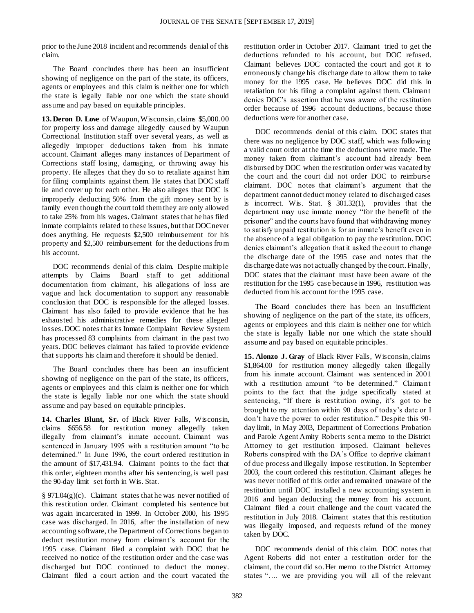prior to the June 2018 incident and recommends denial of this claim.

The Board concludes there has been an insufficient showing of negligence on the part of the state, its officers, agents or employees and this claim is neither one for which the state is legally liable nor one which the state should assume and pay based on equitable principles.

**13. Deron D. Love** of Waupun, Wisconsin, claims \$5,000.00 for property loss and damage allegedly caused by Waupun Correctional Institution staff over several years, as well as allegedly improper deductions taken from his inmate account. Claimant alleges many instances of Department of Corrections staff losing, damaging, or throwing away his property. He alleges that they do so to retaliate against him for filing complaints against them. He states that DOC staff lie and cover up for each other. He also alleges that DOC is improperly deducting 50% from the gift money sent by is family even though the court told them they are only allowed to take 25% from his wages. Claimant states that he has filed inmate complaints related to these issues, but that DOC never does anything. He requests \$2,500 reimbursement for his property and \$2,500 reimbursement for the deductions from his account.

DOC recommends denial of this claim. Despite multiple attempts by Claims Board staff to get additional documentation from claimant, his allegations of loss are vague and lack documentation to support any reasonable conclusion that DOC is responsible for the alleged losses. Claimant has also failed to provide evidence that he has exhausted his administrative remedies for these alleged losses. DOC notes that its Inmate Complaint Review System has processed 83 complaints from claimant in the past two years. DOC believes claimant has failed to provide evidence that supports his claim and therefore it should be denied.

The Board concludes there has been an insufficient showing of negligence on the part of the state, its officers, agents or employees and this claim is neither one for which the state is legally liable nor one which the state should assume and pay based on equitable principles.

**14. Charles Blunt, Sr.** of Black River Falls, Wisconsin, claims \$656.58 for restitution money allegedly taken illegally from claimant's inmate account. Claimant was sentenced in January 1995 with a restitution amount "to be determined." In June 1996, the court ordered restitution in the amount of \$17,431.94. Claimant points to the fact that this order, eighteen months after his sentencing, is well past the 90-day limit set forth in Wis. Stat.

§ 971.04(g)(c). Claimant states that he was never notified of this restitution order. Claimant completed his sentence but was again incarcerated in 1999. In October 2000, his 1995 case was discharged. In 2016, after the installation of new accounting software, the Department of Corrections began to deduct restitution money from claimant's account for the 1995 case. Claimant filed a complaint with DOC that he received no notice of the restitution order and the case was discharged but DOC continued to deduct the money. Claimant filed a court action and the court vacated the restitution order in October 2017. Claimant tried to get the deductions refunded to his account, but DOC refused. Claimant believes DOC contacted the court and got it to erroneously change his discharge date to allow them to take money for the 1995 case. He believes DOC did this in retaliation for his filing a complaint against them. Claimant denies DOC's assertion that he was aware of the restitution order because of 1996 account deductions, because those deductions were for another case.

DOC recommends denial of this claim. DOC states that there was no negligence by DOC staff, which was following a valid court order at the time the deductions were made. The money taken from claimant's account had already been disbursed by DOC when the restitution order was vacated by the court and the court did not order DOC to reimburse claimant. DOC notes that claimant's argument that the department cannot deduct money related to discharged cases is incorrect. Wis. Stat. § 301.32(1), provides that the department may use inmate money "for the benefit of the prisoner" and the courts have found that withdrawing money to satisfy unpaid restitution is for an inmate's benefit even in the absence of a legal obligation to pay the restitution. DOC denies claimant's allegation that it asked the court to change the discharge date of the 1995 case and notes that the discharge date was not actually changed by the court. Finally, DOC states that the claimant must have been aware of the restitution for the 1995 case because in 1996, restitution was deducted from his account for the 1995 case.

The Board concludes there has been an insufficient showing of negligence on the part of the state, its officers, agents or employees and this claim is neither one for which the state is legally liable nor one which the state should assume and pay based on equitable principles.

**15. Alonzo J. Gray** of Black River Falls, Wisconsin, claims \$1,864.00 for restitution money allegedly taken illegally from his inmate account. Claimant was sentenced in 2001 with a restitution amount "to be determined." Claimant points to the fact that the judge specifically stated at sentencing, "If there is restitution owing, it's got to be brought to my attention within 90 days of today's date or I don't have the power to order restitution." Despite this 90 day limit, in May 2003, Department of Corrections Probation and Parole Agent Amity Roberts sent a memo to the District Attorney to get restitution imposed. Claimant believes Roberts conspired with the DA's Office to deprive claimant of due process and illegally impose restitution. In September 2003, the court ordered this restitution. Claimant alleges he was never notified of this order and remained unaware of the restitution until DOC installed a new accounting system in 2016 and began deducting the money from his account. Claimant filed a court challenge and the court vacated the restitution in July 2018. Claimant states that this restitution was illegally imposed, and requests refund of the money taken by DOC.

DOC recommends denial of this claim. DOC notes that Agent Roberts did not enter a restitution order for the claimant, the court did so. Her memo to the District Attorney states "…. we are providing you will all of the relevant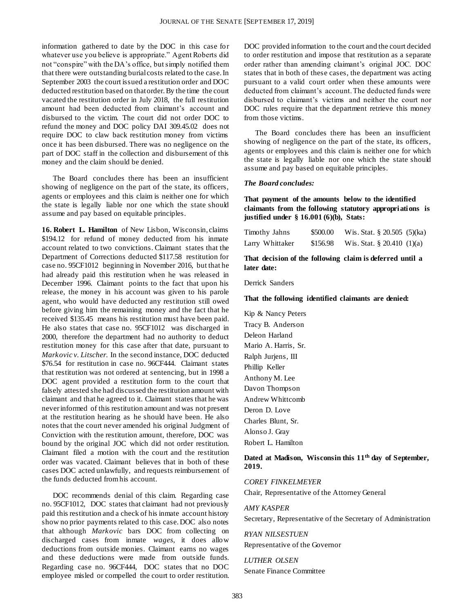information gathered to date by the DOC in this case for whatever use you believe is appropriate." Agent Roberts did not "conspire" with the DA's office, but simply notified them that there were outstanding burial costs related to the case. In September 2003 the court issued a restitution order and DOC deducted restitution based on that order. By the time the court vacated the restitution order in July 2018, the full restitution amount had been deducted from claimant's account and disbursed to the victim. The court did not order DOC to refund the money and DOC policy DAI 309.45.02 does not require DOC to claw back restitution money from victims once it has been disbursed. There was no negligence on the part of DOC staff in the collection and disbursement of this money and the claim should be denied.

The Board concludes there has been an insufficient showing of negligence on the part of the state, its officers, agents or employees and this claim is neither one for which the state is legally liable nor one which the state should assume and pay based on equitable principles.

**16. Robert L. Hamilton** of New Lisbon, Wisconsin, claims \$194.12 for refund of money deducted from his inmate account related to two convictions. Claimant states that the Department of Corrections deducted \$117.58 restitution for case no. 95CF1012 beginning in November 2016, but that he had already paid this restitution when he was released in December 1996. Claimant points to the fact that upon his release, the money in his account was given to his parole agent, who would have deducted any restitution still owed before giving him the remaining money and the fact that he received \$135.45 means his restitution must have been paid. He also states that case no. 95CF1012 was discharged in 2000, therefore the department had no authority to deduct restitution money for this case after that date, pursuant to *Markovic v. Litscher.* In the second instance, DOC deducted \$76.54 for restitution in case no. 96CF444. Claimant states that restitution was not ordered at sentencing, but in 1998 a DOC agent provided a restitution form to the court that falsely attested she had discussed the restitution amount with claimant and that he agreed to it. Claimant states that he was never informed of this restitution amount and was not present at the restitution hearing as he should have been. He also notes that the court never amended his original Judgment of Conviction with the restitution amount, therefore, DOC was bound by the original JOC which did not order restitution. Claimant filed a motion with the court and the restitution order was vacated. Claimant believes that in both of these cases DOC acted unlawfully, and requests reimbursement of the funds deducted from his account.

DOC recommends denial of this claim. Regarding case no. 95CF1012, DOC states that claimant had not previously paid this restitution and a check of his inmate account history show no prior payments related to this case. DOC also notes that although *Markovic* bars DOC from collecting on discharged cases from inmate *wages*, it does allow deductions from outside monies. Claimant earns no wages and these deductions were made from outside funds. Regarding case no. 96CF444, DOC states that no DOC employee misled or compelled the court to order restitution. DOC provided information to the court and the court decided to order restitution and impose that restitution as a separate order rather than amending claimant's original JOC. DOC states that in both of these cases, the department was acting pursuant to a valid court order when these amounts were deducted from claimant's account. The deducted funds were disbursed to claimant's victims and neither the court nor DOC rules require that the department retrieve this money from those victims.

The Board concludes there has been an insufficient showing of negligence on the part of the state, its officers, agents or employees and this claim is neither one for which the state is legally liable nor one which the state should assume and pay based on equitable principles.

#### *The Board concludes:*

#### **That payment of the amounts below to the identified claimants from the following statutory appropriations is justified under § 16.001 (6)(b), Stats:**

| Timothy Jahns   | \$500.00 | Wis. Stat. $\S 20.505$ (5)(ka) |  |
|-----------------|----------|--------------------------------|--|
| Larry Whittaker | \$156.98 | Wis. Stat. § 20.410 $(1)(a)$   |  |

**That decision of the following claim is deferred until a later date:**

Derrick Sanders

#### **That the following identified claimants are denied:**

Kip & Nancy Peters Tracy B. Anderson Deleon Harland Mario A. Harris, Sr. Ralph Jurjens, III Phillip Keller Anthony M. Lee Davon Thompson Andrew Whittcomb Deron D. Love Charles Blunt, Sr. Alonso J. Gray Robert L. Hamilton

#### **Dated at Madison, Wisconsin this 11th day of September, 2019.**

#### *COREY FINKELMEYER*

Chair, Representative of the Attorney General

#### *AMY KASPER*

Secretary, Representative of the Secretary of Administration

*RYAN NILSESTUEN* Representative of the Governor

*LUTHER OLSEN* Senate Finance Committee